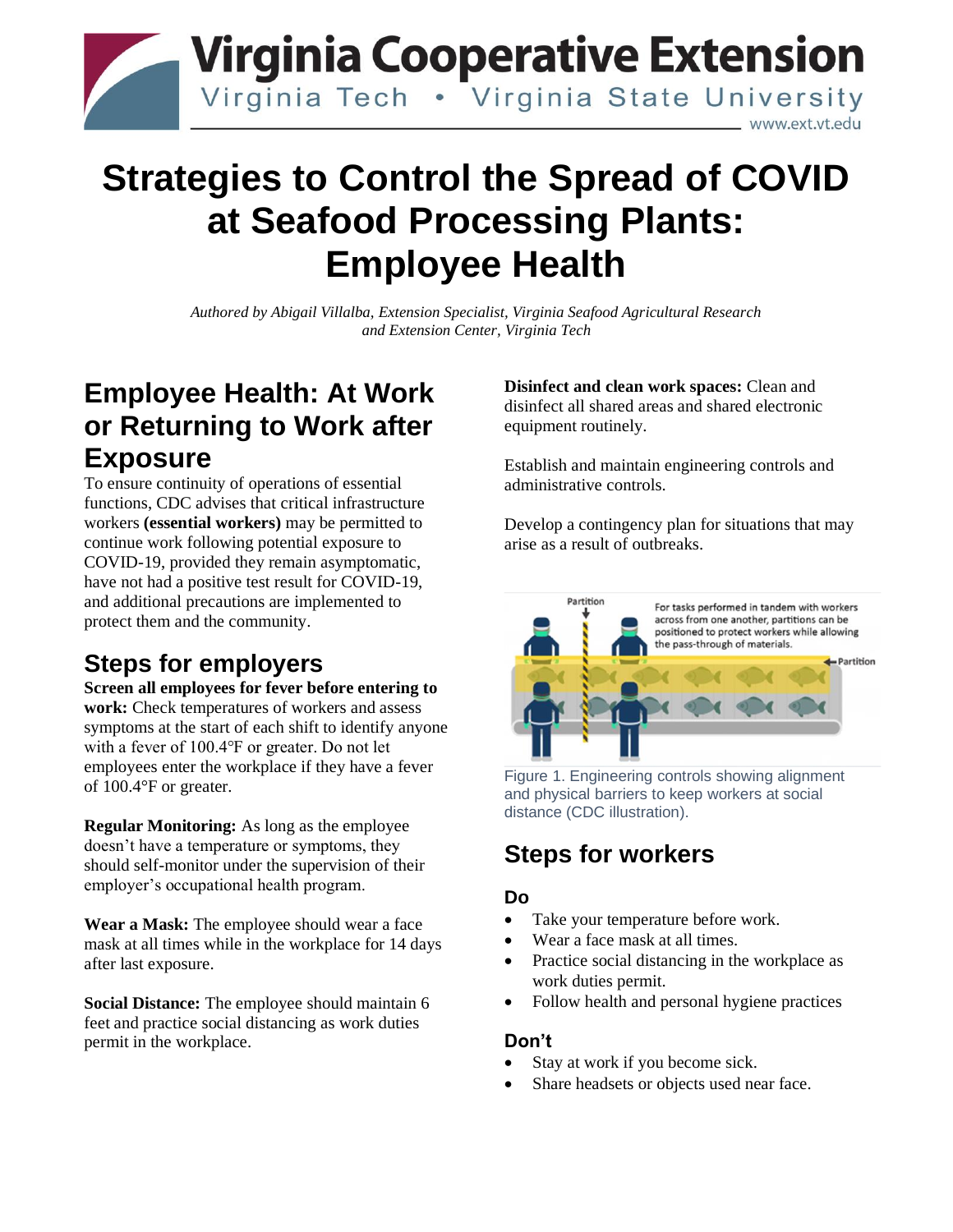

# **Strategies to Control the Spread of COVID at Seafood Processing Plants: Employee Health**

*Authored by Abigail Villalba, Extension Specialist, Virginia Seafood Agricultural Research and Extension Center, Virginia Tech*

### **Employee Health: At Work or Returning to Work after Exposure**

To ensure continuity of operations of essential functions, CDC advises that critical infrastructure workers **(essential workers)** may be permitted to continue work following potential exposure to COVID-19, provided they remain asymptomatic, have not had a positive test result for COVID-19, and additional precautions are implemented to protect them and the community.

### **Steps for employers**

**Screen all employees for fever before entering to work:** Check temperatures of workers and assess symptoms at the start of each shift to identify anyone with a fever of 100.4°F or greater. Do not let employees enter the workplace if they have a fever of 100.4°F or greater.

**Regular Monitoring:** As long as the employee doesn't have a temperature or symptoms, they should self-monitor under the supervision of their employer's occupational health program.

**Wear a Mask:** The employee should wear a face mask at all times while in the workplace for 14 days after last exposure.

**Social Distance:** The employee should maintain 6 feet and practice social distancing as work duties permit in the workplace.

**Disinfect and clean work spaces:** Clean and disinfect all shared areas and shared electronic equipment routinely.

Establish and maintain engineering controls and administrative controls.

Develop a contingency plan for situations that may arise as a result of outbreaks.



Figure 1. Engineering controls showing alignment and physical barriers to keep workers at social distance (CDC illustration).

### **Steps for workers**

#### **Do**

- Take your temperature before work.
- Wear a face mask at all times.
- Practice social distancing in the workplace as work duties permit.
- Follow health and personal hygiene practices

#### **Don't**

- Stay at work if you become sick.
- Share headsets or objects used near face.